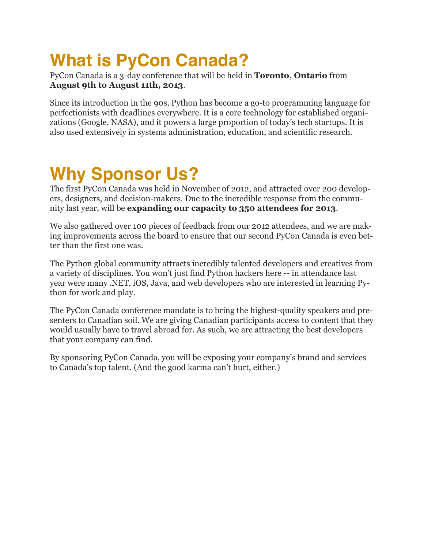# **What is PyCon Canada?**

PyCon Canada is a 3-day conference that will be held in **Toronto, Ontario** from **August 9th to August 11th, 2013**.

Since its introduction in the 90s, Python has become a go-to programming language for perfectionists with deadlines everywhere. It is a core technology for established organizations (Google, NASA), and it powers a large proportion of today's tech startups. It is also used extensively in systems administration, education, and scientific research.

# **Why Sponsor Us?**

The first PyCon Canada was held in November of 2012, and attracted over 200 developers, designers, and decision-makers. Due to the incredible response from the community last year, will be **expanding our capacity to 350 attendees for 2013**.

We also gathered over 100 pieces of feedback from our 2012 attendees, and we are making improvements across the board to ensure that our second PyCon Canada is even better than the first one was.

The Python global community attracts incredibly talented developers and creatives from a variety of disciplines. You won't just find Python hackers here -- in attendance last year were many .NET, iOS, Java, and web developers who are interested in learning Python for work and play.

The PyCon Canada conference mandate is to bring the highest-quality speakers and presenters to Canadian soil. We are giving Canadian participants access to content that they would usually have to travel abroad for. As such, we are attracting the best developers that your company can find.

By sponsoring PyCon Canada, you will be exposing your company's brand and services to Canada's top talent. (And the good karma can't hurt, either.)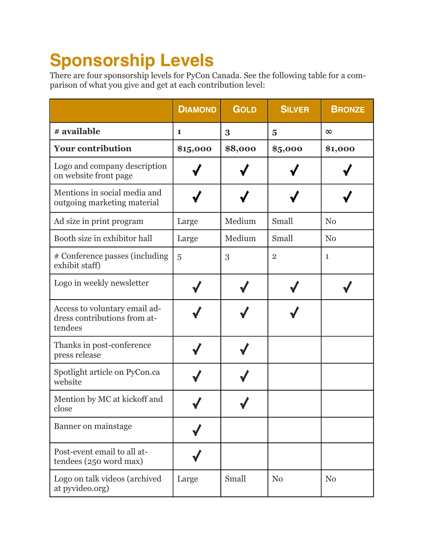# **Sponsorship Levels**

There are four sponsorship levels for PyCon Canada. See the following table for a comparison of what you give and get at each contribution level:

|                                                                          | <b>DIAMOND</b> | <b>GOLD</b> | <b>SILVER</b>  | <b>BRONZE</b>  |
|--------------------------------------------------------------------------|----------------|-------------|----------------|----------------|
| # available                                                              | 1              | 3           | $\overline{5}$ | $\infty$       |
| <b>Your contribution</b>                                                 | \$15,000       | \$8,000     | \$5,000        | \$1,000        |
| Logo and company description<br>on website front page                    |                |             |                |                |
| Mentions in social media and<br>outgoing marketing material              |                |             |                |                |
| Ad size in print program                                                 | Large          | Medium      | Small          | N <sub>0</sub> |
| Booth size in exhibitor hall                                             | Large          | Medium      | Small          | N <sub>0</sub> |
| # Conference passes (including<br>exhibit staff)                         | 5              | 3           | $\mathbf{2}$   | $\mathbf{1}$   |
| Logo in weekly newsletter                                                |                |             |                |                |
| Access to voluntary email ad-<br>dress contributions from at-<br>tendees |                |             |                |                |
| Thanks in post-conference<br>press release                               |                |             |                |                |
| Spotlight article on PyCon.ca<br>website                                 |                |             |                |                |
| Mention by MC at kickoff and<br>close                                    |                |             |                |                |
| Banner on mainstage                                                      |                |             |                |                |
| Post-event email to all at-<br>tendees (250 word max)                    |                |             |                |                |
| Logo on talk videos (archived<br>at pyvideo.org)                         | Large          | Small       | N <sub>0</sub> | N <sub>0</sub> |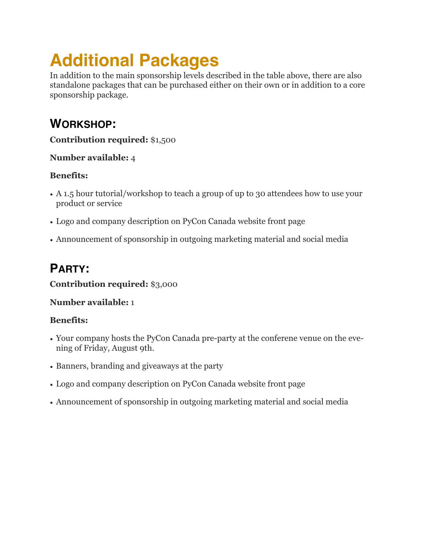# **Additional Packages**

In addition to the main sponsorship levels described in the table above, there are also standalone packages that can be purchased either on their own or in addition to a core sponsorship package.

# **WORKSHOP:**

**Contribution required:** \$1,500

### **Number available:** 4

### **Benefits:**

- A 1.5 hour tutorial/workshop to teach a group of up to 30 attendees how to use your product or service
- Logo and company description on PyCon Canada website front page
- Announcement of sponsorship in outgoing marketing material and social media

# **PARTY:**

### **Contribution required:** \$3,000

### **Number available:** 1

### **Benefits:**

- Your company hosts the PyCon Canada pre-party at the conferene venue on the evening of Friday, August 9th.
- Banners, branding and giveaways at the party
- Logo and company description on PyCon Canada website front page
- Announcement of sponsorship in outgoing marketing material and social media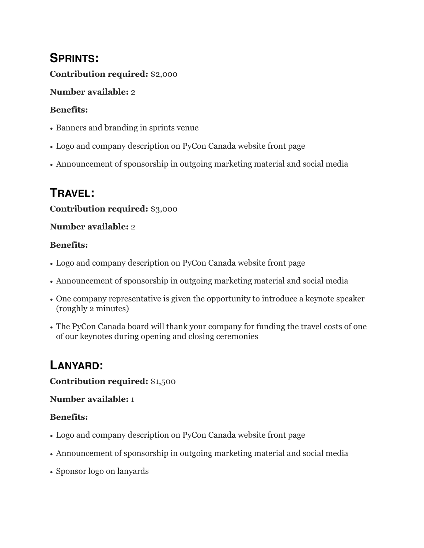# **SPRINTS:**

**Contribution required:** \$2,000

## **Number available:** 2

## **Benefits:**

- Banners and branding in sprints venue
- Logo and company description on PyCon Canada website front page
- Announcement of sponsorship in outgoing marketing material and social media

# **TRAVEL:**

## **Contribution required:** \$3,000

## **Number available:** 2

## **Benefits:**

- Logo and company description on PyCon Canada website front page
- Announcement of sponsorship in outgoing marketing material and social media
- One company representative is given the opportunity to introduce a keynote speaker (roughly 2 minutes)
- The PyCon Canada board will thank your company for funding the travel costs of one of our keynotes during opening and closing ceremonies

# **LANYARD:**

### **Contribution required:** \$1,500

### **Number available:** 1

## **Benefits:**

- Logo and company description on PyCon Canada website front page
- Announcement of sponsorship in outgoing marketing material and social media
- Sponsor logo on lanyards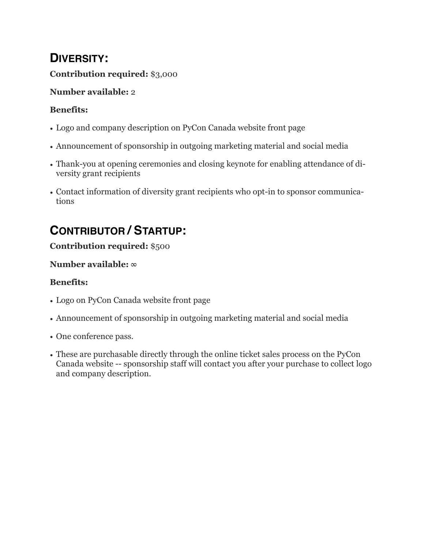## **DIVERSITY:**

### **Contribution required:** \$3,000

#### **Number available:** 2

#### **Benefits:**

- Logo and company description on PyCon Canada website front page
- Announcement of sponsorship in outgoing marketing material and social media
- Thank-you at opening ceremonies and closing keynote for enabling attendance of diversity grant recipients
- Contact information of diversity grant recipients who opt-in to sponsor communications

# **CONTRIBUTOR / STARTUP:**

### **Contribution required:** \$500

#### **Number available:** ∞

### **Benefits:**

- Logo on PyCon Canada website front page
- Announcement of sponsorship in outgoing marketing material and social media
- One conference pass.
- These are purchasable directly through the online ticket sales process on the PyCon Canada website -- sponsorship staff will contact you after your purchase to collect logo and company description.